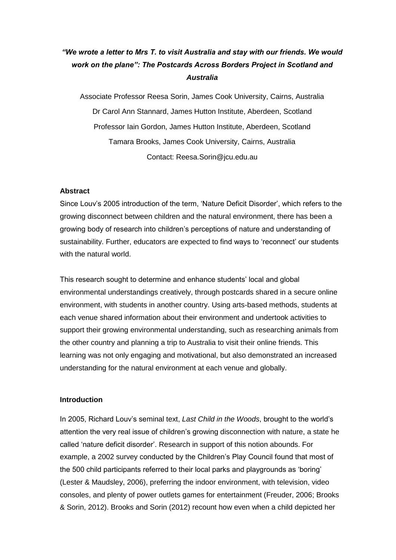# *"We wrote a letter to Mrs T. to visit Australia and stay with our friends. We would work on the plane": The Postcards Across Borders Project in Scotland and Australia*

Associate Professor Reesa Sorin, James Cook University, Cairns, Australia Dr Carol Ann Stannard, James Hutton Institute, Aberdeen, Scotland Professor Iain Gordon, James Hutton Institute, Aberdeen, Scotland Tamara Brooks, James Cook University, Cairns, Australia Contact: Reesa.Sorin@jcu.edu.au

#### **Abstract**

Since Louv's 2005 introduction of the term, 'Nature Deficit Disorder', which refers to the growing disconnect between children and the natural environment, there has been a growing body of research into children's perceptions of nature and understanding of sustainability. Further, educators are expected to find ways to 'reconnect' our students with the natural world.

This research sought to determine and enhance students' local and global environmental understandings creatively, through postcards shared in a secure online environment, with students in another country. Using arts-based methods, students at each venue shared information about their environment and undertook activities to support their growing environmental understanding, such as researching animals from the other country and planning a trip to Australia to visit their online friends. This learning was not only engaging and motivational, but also demonstrated an increased understanding for the natural environment at each venue and globally.

#### **Introduction**

In 2005, Richard Louv's seminal text, *Last Child in the Woods*, brought to the world's attention the very real issue of children's growing disconnection with nature, a state he called 'nature deficit disorder'. Research in support of this notion abounds. For example, a 2002 survey conducted by the Children's Play Council found that most of the 500 child participants referred to their local parks and playgrounds as 'boring' (Lester & Maudsley, 2006), preferring the indoor environment, with television, video consoles, and plenty of power outlets games for entertainment (Freuder, 2006; Brooks & Sorin, 2012). Brooks and Sorin (2012) recount how even when a child depicted her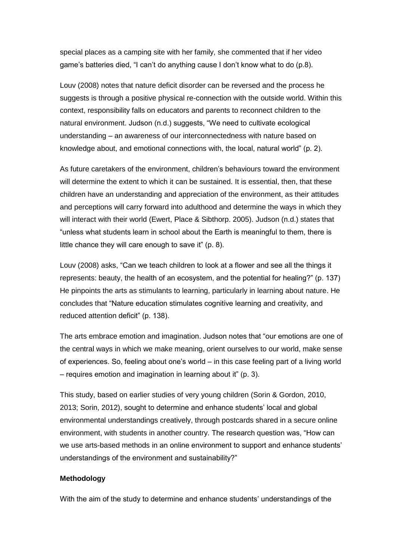special places as a camping site with her family, she commented that if her video game's batteries died, "I can't do anything cause I don't know what to do (p.8).

Louv (2008) notes that nature deficit disorder can be reversed and the process he suggests is through a positive physical re-connection with the outside world. Within this context, responsibility falls on educators and parents to reconnect children to the natural environment. Judson (n.d.) suggests, "We need to cultivate ecological understanding – an awareness of our interconnectedness with nature based on knowledge about, and emotional connections with, the local, natural world" (p. 2).

As future caretakers of the environment, children's behaviours toward the environment will determine the extent to which it can be sustained. It is essential, then, that these children have an understanding and appreciation of the environment, as their attitudes and perceptions will carry forward into adulthood and determine the ways in which they will interact with their world (Ewert, Place & Sibthorp. 2005). Judson (n.d.) states that "unless what students learn in school about the Earth is meaningful to them, there is little chance they will care enough to save it" (p. 8).

Louv (2008) asks, "Can we teach children to look at a flower and see all the things it represents: beauty, the health of an ecosystem, and the potential for healing?" (p. 137) He pinpoints the arts as stimulants to learning, particularly in learning about nature. He concludes that "Nature education stimulates cognitive learning and creativity, and reduced attention deficit" (p. 138).

The arts embrace emotion and imagination. Judson notes that "our emotions are one of the central ways in which we make meaning, orient ourselves to our world, make sense of experiences. So, feeling about one's world – in this case feeling part of a living world – requires emotion and imagination in learning about it" (p. 3).

This study, based on earlier studies of very young children (Sorin & Gordon, 2010, 2013; Sorin, 2012), sought to determine and enhance students' local and global environmental understandings creatively, through postcards shared in a secure online environment, with students in another country. The research question was, "How can we use arts-based methods in an online environment to support and enhance students' understandings of the environment and sustainability?"

#### **Methodology**

With the aim of the study to determine and enhance students' understandings of the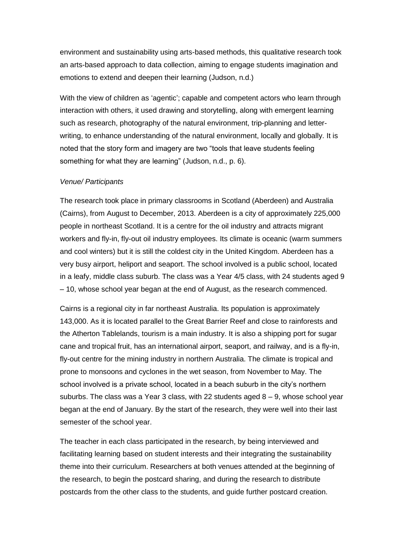environment and sustainability using arts-based methods, this qualitative research took an arts-based approach to data collection, aiming to engage students imagination and emotions to extend and deepen their learning (Judson, n.d.)

With the view of children as 'agentic'; capable and competent actors who learn through interaction with others, it used drawing and storytelling, along with emergent learning such as research, photography of the natural environment, trip-planning and letterwriting, to enhance understanding of the natural environment, locally and globally. It is noted that the story form and imagery are two "tools that leave students feeling something for what they are learning" (Judson, n.d., p. 6).

#### *Venue/ Participants*

The research took place in primary classrooms in Scotland (Aberdeen) and Australia (Cairns), from August to December, 2013. Aberdeen is a city of approximately 225,000 people in northeast Scotland. It is a centre for the oil industry and attracts migrant workers and fly-in, fly-out oil industry employees. Its climate is oceanic (warm summers and cool winters) but it is still the coldest city in the United Kingdom. Aberdeen has a very busy airport, heliport and seaport. The school involved is a public school, located in a leafy, middle class suburb. The class was a Year 4/5 class, with 24 students aged 9 – 10, whose school year began at the end of August, as the research commenced.

Cairns is a regional city in far northeast Australia. Its population is approximately 143,000. As it is located parallel to the Great Barrier Reef and close to rainforests and the Atherton Tablelands, tourism is a main industry. It is also a shipping port for sugar cane and tropical fruit, has an international airport, seaport, and railway, and is a fly-in, fly-out centre for the mining industry in northern Australia. The climate is tropical and prone to monsoons and cyclones in the wet season, from November to May. The school involved is a private school, located in a beach suburb in the city's northern suburbs. The class was a Year 3 class, with 22 students aged  $8 - 9$ , whose school year began at the end of January. By the start of the research, they were well into their last semester of the school year.

The teacher in each class participated in the research, by being interviewed and facilitating learning based on student interests and their integrating the sustainability theme into their curriculum. Researchers at both venues attended at the beginning of the research, to begin the postcard sharing, and during the research to distribute postcards from the other class to the students, and guide further postcard creation.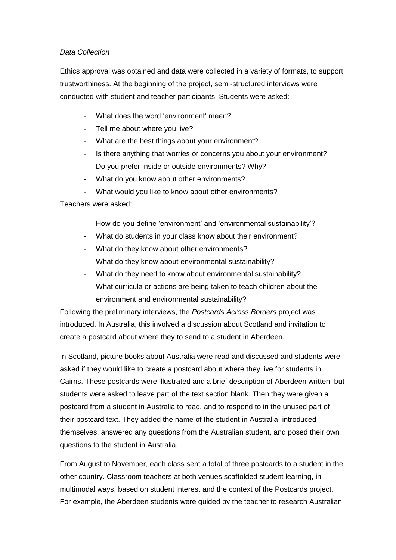## *Data Collection*

Ethics approval was obtained and data were collected in a variety of formats, to support trustworthiness. At the beginning of the project, semi-structured interviews were conducted with student and teacher participants. Students were asked:

- What does the word 'environment' mean?
- Tell me about where you live?
- What are the best things about your environment?
- Is there anything that worries or concerns you about your environment?
- Do you prefer inside or outside environments? Why?
- What do you know about other environments?
- What would you like to know about other environments?

Teachers were asked:

- How do you define 'environment' and 'environmental sustainability'?
- What do students in your class know about their environment?
- What do they know about other environments?
- What do they know about environmental sustainability?
- What do they need to know about environmental sustainability?
- What curricula or actions are being taken to teach children about the environment and environmental sustainability?

Following the preliminary interviews, the *Postcards Across Borders* project was introduced. In Australia, this involved a discussion about Scotland and invitation to create a postcard about where they to send to a student in Aberdeen.

In Scotland, picture books about Australia were read and discussed and students were asked if they would like to create a postcard about where they live for students in Cairns. These postcards were illustrated and a brief description of Aberdeen written, but students were asked to leave part of the text section blank. Then they were given a postcard from a student in Australia to read, and to respond to in the unused part of their postcard text. They added the name of the student in Australia, introduced themselves, answered any questions from the Australian student, and posed their own questions to the student in Australia.

From August to November, each class sent a total of three postcards to a student in the other country. Classroom teachers at both venues scaffolded student learning, in multimodal ways, based on student interest and the context of the Postcards project. For example, the Aberdeen students were guided by the teacher to research Australian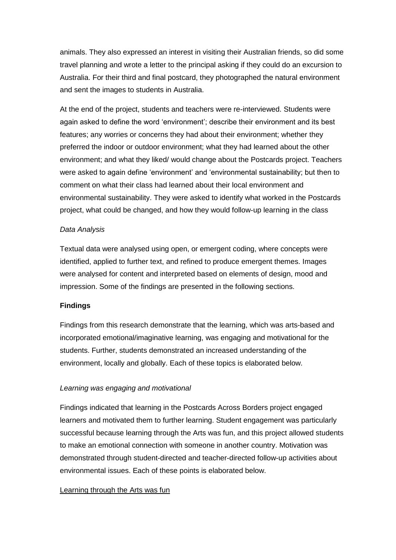animals. They also expressed an interest in visiting their Australian friends, so did some travel planning and wrote a letter to the principal asking if they could do an excursion to Australia. For their third and final postcard, they photographed the natural environment and sent the images to students in Australia.

At the end of the project, students and teachers were re-interviewed. Students were again asked to define the word 'environment'; describe their environment and its best features; any worries or concerns they had about their environment; whether they preferred the indoor or outdoor environment; what they had learned about the other environment; and what they liked/ would change about the Postcards project. Teachers were asked to again define 'environment' and 'environmental sustainability; but then to comment on what their class had learned about their local environment and environmental sustainability. They were asked to identify what worked in the Postcards project, what could be changed, and how they would follow-up learning in the class

## *Data Analysis*

Textual data were analysed using open, or emergent coding, where concepts were identified, applied to further text, and refined to produce emergent themes. Images were analysed for content and interpreted based on elements of design, mood and impression. Some of the findings are presented in the following sections.

## **Findings**

Findings from this research demonstrate that the learning, which was arts-based and incorporated emotional/imaginative learning, was engaging and motivational for the students. Further, students demonstrated an increased understanding of the environment, locally and globally. Each of these topics is elaborated below.

## *Learning was engaging and motivational*

Findings indicated that learning in the Postcards Across Borders project engaged learners and motivated them to further learning. Student engagement was particularly successful because learning through the Arts was fun, and this project allowed students to make an emotional connection with someone in another country. Motivation was demonstrated through student-directed and teacher-directed follow-up activities about environmental issues. Each of these points is elaborated below.

## Learning through the Arts was fun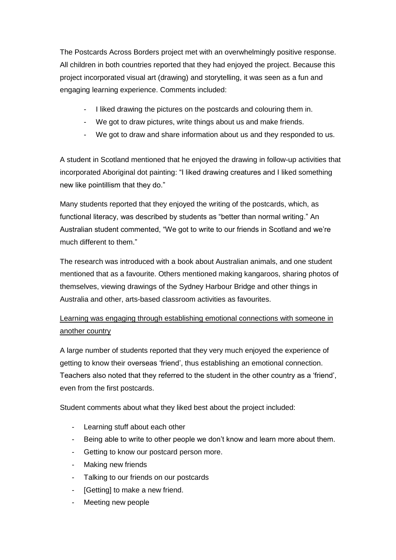The Postcards Across Borders project met with an overwhelmingly positive response. All children in both countries reported that they had enjoyed the project. Because this project incorporated visual art (drawing) and storytelling, it was seen as a fun and engaging learning experience. Comments included:

- I liked drawing the pictures on the postcards and colouring them in.
- We got to draw pictures, write things about us and make friends.
- We got to draw and share information about us and they responded to us.

A student in Scotland mentioned that he enjoyed the drawing in follow-up activities that incorporated Aboriginal dot painting: "I liked drawing creatures and I liked something new like pointillism that they do."

Many students reported that they enjoyed the writing of the postcards, which, as functional literacy, was described by students as "better than normal writing." An Australian student commented, "We got to write to our friends in Scotland and we're much different to them."

The research was introduced with a book about Australian animals, and one student mentioned that as a favourite. Others mentioned making kangaroos, sharing photos of themselves, viewing drawings of the Sydney Harbour Bridge and other things in Australia and other, arts-based classroom activities as favourites.

## Learning was engaging through establishing emotional connections with someone in another country

A large number of students reported that they very much enjoyed the experience of getting to know their overseas 'friend', thus establishing an emotional connection. Teachers also noted that they referred to the student in the other country as a 'friend', even from the first postcards.

Student comments about what they liked best about the project included:

- Learning stuff about each other
- Being able to write to other people we don't know and learn more about them.
- Getting to know our postcard person more.
- Making new friends
- Talking to our friends on our postcards
- [Getting] to make a new friend.
- Meeting new people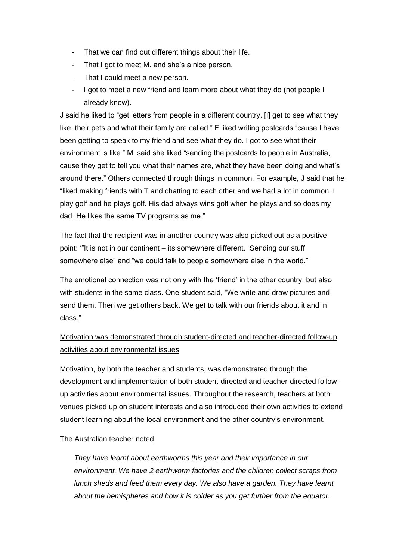- That we can find out different things about their life.
- That I got to meet M. and she's a nice person.
- That I could meet a new person.
- I got to meet a new friend and learn more about what they do (not people I already know).

J said he liked to "get letters from people in a different country. [I] get to see what they like, their pets and what their family are called." F liked writing postcards "cause I have been getting to speak to my friend and see what they do. I got to see what their environment is like." M. said she liked "sending the postcards to people in Australia, cause they get to tell you what their names are, what they have been doing and what's around there." Others connected through things in common. For example, J said that he "liked making friends with T and chatting to each other and we had a lot in common. I play golf and he plays golf. His dad always wins golf when he plays and so does my dad. He likes the same TV programs as me."

The fact that the recipient was in another country was also picked out as a positive point: '"It is not in our continent – its somewhere different. Sending our stuff somewhere else" and "we could talk to people somewhere else in the world."

The emotional connection was not only with the 'friend' in the other country, but also with students in the same class. One student said, "We write and draw pictures and send them. Then we get others back. We get to talk with our friends about it and in class."

## Motivation was demonstrated through student-directed and teacher-directed follow-up activities about environmental issues

Motivation, by both the teacher and students, was demonstrated through the development and implementation of both student-directed and teacher-directed followup activities about environmental issues. Throughout the research, teachers at both venues picked up on student interests and also introduced their own activities to extend student learning about the local environment and the other country's environment.

The Australian teacher noted,

*They have learnt about earthworms this year and their importance in our environment. We have 2 earthworm factories and the children collect scraps from lunch sheds and feed them every day. We also have a garden. They have learnt about the hemispheres and how it is colder as you get further from the equator.*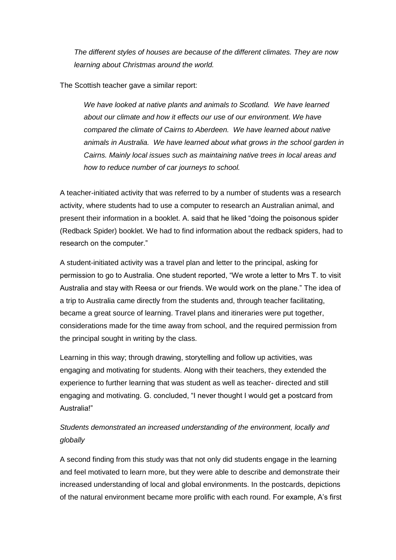*The different styles of houses are because of the different climates. They are now learning about Christmas around the world.*

The Scottish teacher gave a similar report:

*We have looked at native plants and animals to Scotland. We have learned about our climate and how it effects our use of our environment. We have compared the climate of Cairns to Aberdeen. We have learned about native animals in Australia. We have learned about what grows in the school garden in Cairns. Mainly local issues such as maintaining native trees in local areas and how to reduce number of car journeys to school.*

A teacher-initiated activity that was referred to by a number of students was a research activity, where students had to use a computer to research an Australian animal, and present their information in a booklet. A. said that he liked "doing the poisonous spider (Redback Spider) booklet. We had to find information about the redback spiders, had to research on the computer."

A student-initiated activity was a travel plan and letter to the principal, asking for permission to go to Australia. One student reported, "We wrote a letter to Mrs T. to visit Australia and stay with Reesa or our friends. We would work on the plane." The idea of a trip to Australia came directly from the students and, through teacher facilitating, became a great source of learning. Travel plans and itineraries were put together, considerations made for the time away from school, and the required permission from the principal sought in writing by the class.

Learning in this way; through drawing, storytelling and follow up activities, was engaging and motivating for students. Along with their teachers, they extended the experience to further learning that was student as well as teacher- directed and still engaging and motivating. G. concluded, "I never thought I would get a postcard from Australia!"

## *Students demonstrated an increased understanding of the environment, locally and globally*

A second finding from this study was that not only did students engage in the learning and feel motivated to learn more, but they were able to describe and demonstrate their increased understanding of local and global environments. In the postcards, depictions of the natural environment became more prolific with each round. For example, A's first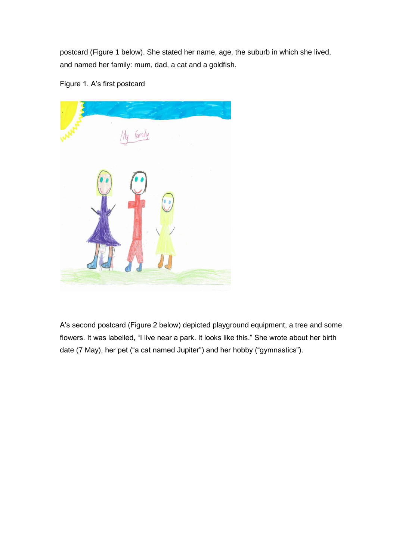postcard (Figure 1 below). She stated her name, age, the suburb in which she lived, and named her family: mum, dad, a cat and a goldfish.

Figure 1. A's first postcard



A's second postcard (Figure 2 below) depicted playground equipment, a tree and some flowers. It was labelled, "I live near a park. It looks like this." She wrote about her birth date (7 May), her pet ("a cat named Jupiter") and her hobby ("gymnastics").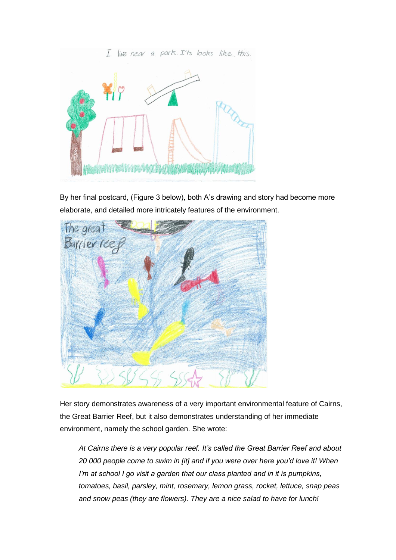

By her final postcard, (Figure 3 below), both A's drawing and story had become more elaborate, and detailed more intricately features of the environment.



Her story demonstrates awareness of a very important environmental feature of Cairns, the Great Barrier Reef, but it also demonstrates understanding of her immediate environment, namely the school garden. She wrote:

*At Cairns there is a very popular reef. It's called the Great Barrier Reef and about 20 000 people come to swim in [it] and if you were over here you'd love it! When I'm at school I go visit a garden that our class planted and in it is pumpkins, tomatoes, basil, parsley, mint, rosemary, lemon grass, rocket, lettuce, snap peas and snow peas (they are flowers). They are a nice salad to have for lunch!*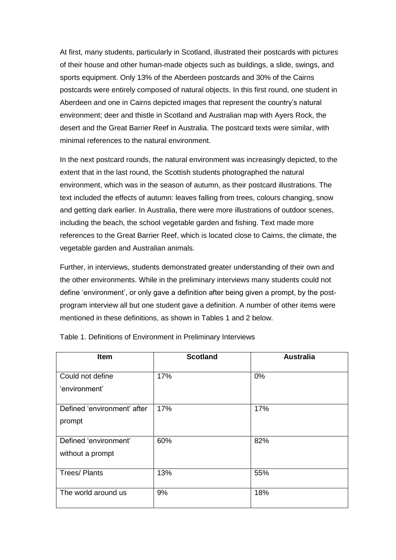At first, many students, particularly in Scotland, illustrated their postcards with pictures of their house and other human-made objects such as buildings, a slide, swings, and sports equipment. Only 13% of the Aberdeen postcards and 30% of the Cairns postcards were entirely composed of natural objects. In this first round, one student in Aberdeen and one in Cairns depicted images that represent the country's natural environment; deer and thistle in Scotland and Australian map with Ayers Rock, the desert and the Great Barrier Reef in Australia. The postcard texts were similar, with minimal references to the natural environment.

In the next postcard rounds, the natural environment was increasingly depicted, to the extent that in the last round, the Scottish students photographed the natural environment, which was in the season of autumn, as their postcard illustrations. The text included the effects of autumn: leaves falling from trees, colours changing, snow and getting dark earlier. In Australia, there were more illustrations of outdoor scenes, including the beach, the school vegetable garden and fishing. Text made more references to the Great Barrier Reef, which is located close to Cairns, the climate, the vegetable garden and Australian animals.

Further, in interviews, students demonstrated greater understanding of their own and the other environments. While in the preliminary interviews many students could not define 'environment', or only gave a definition after being given a prompt, by the postprogram interview all but one student gave a definition. A number of other items were mentioned in these definitions, as shown in Tables 1 and 2 below.

| Item                                      | <b>Scotland</b> | <b>Australia</b> |
|-------------------------------------------|-----------------|------------------|
| Could not define<br>'environment'         | 17%             | 0%               |
| Defined 'environment' after<br>prompt     | 17%             | 17%              |
| Defined 'environment'<br>without a prompt | 60%             | 82%              |
| <b>Trees/Plants</b>                       | 13%             | 55%              |
| The world around us                       | 9%              | 18%              |

Table 1. Definitions of Environment in Preliminary Interviews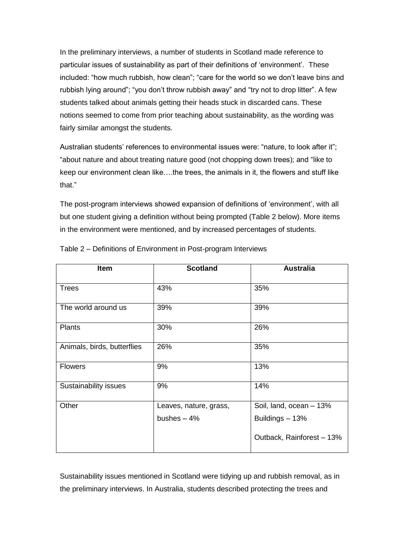In the preliminary interviews, a number of students in Scotland made reference to particular issues of sustainability as part of their definitions of 'environment'. These included: "how much rubbish, how clean"; "care for the world so we don't leave bins and rubbish lying around"; "you don't throw rubbish away" and "try not to drop litter". A few students talked about animals getting their heads stuck in discarded cans. These notions seemed to come from prior teaching about sustainability, as the wording was fairly similar amongst the students.

Australian students' references to environmental issues were: "nature, to look after it"; "about nature and about treating nature good (not chopping down trees); and "like to keep our environment clean like….the trees, the animals in it, the flowers and stuff like that."

The post-program interviews showed expansion of definitions of 'environment', with all but one student giving a definition without being prompted (Table 2 below). More items in the environment were mentioned, and by increased percentages of students.

| <b>Item</b>                 | <b>Scotland</b>        | <b>Australia</b>          |
|-----------------------------|------------------------|---------------------------|
| <b>Trees</b>                | 43%                    | 35%                       |
| The world around us         | 39%                    | 39%                       |
| <b>Plants</b>               | 30%                    | 26%                       |
| Animals, birds, butterflies | 26%                    | 35%                       |
| <b>Flowers</b>              | 9%                     | 13%                       |
| Sustainability issues       | 9%                     | 14%                       |
| Other                       | Leaves, nature, grass, | Soil, land, ocean - 13%   |
|                             | bushes $-4%$           | Buildings - 13%           |
|                             |                        | Outback, Rainforest - 13% |

Table 2 – Definitions of Environment in Post-program Interviews

Sustainability issues mentioned in Scotland were tidying up and rubbish removal, as in the preliminary interviews. In Australia, students described protecting the trees and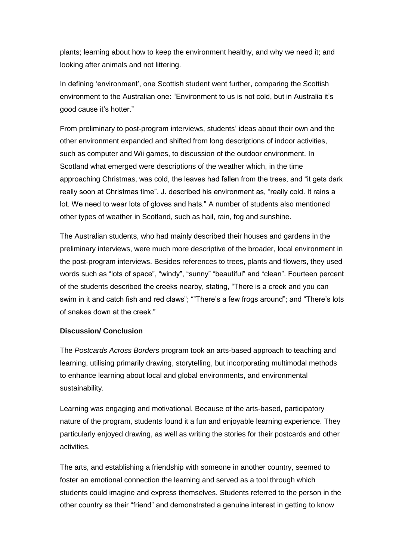plants; learning about how to keep the environment healthy, and why we need it; and looking after animals and not littering.

In defining 'environment', one Scottish student went further, comparing the Scottish environment to the Australian one: "Environment to us is not cold, but in Australia it's good cause it's hotter."

From preliminary to post-program interviews, students' ideas about their own and the other environment expanded and shifted from long descriptions of indoor activities, such as computer and Wii games, to discussion of the outdoor environment. In Scotland what emerged were descriptions of the weather which, in the time approaching Christmas, was cold, the leaves had fallen from the trees, and "it gets dark really soon at Christmas time". J. described his environment as, "really cold. It rains a lot. We need to wear lots of gloves and hats." A number of students also mentioned other types of weather in Scotland, such as hail, rain, fog and sunshine.

The Australian students, who had mainly described their houses and gardens in the preliminary interviews, were much more descriptive of the broader, local environment in the post-program interviews. Besides references to trees, plants and flowers, they used words such as "lots of space", "windy", "sunny" "beautiful" and "clean". Fourteen percent of the students described the creeks nearby, stating, "There is a creek and you can swim in it and catch fish and red claws"; ""There's a few frogs around"; and "There's lots of snakes down at the creek."

## **Discussion/ Conclusion**

The *Postcards Across Borders* program took an arts-based approach to teaching and learning, utilising primarily drawing, storytelling, but incorporating multimodal methods to enhance learning about local and global environments, and environmental sustainability.

Learning was engaging and motivational. Because of the arts-based, participatory nature of the program, students found it a fun and enjoyable learning experience. They particularly enjoyed drawing, as well as writing the stories for their postcards and other activities.

The arts, and establishing a friendship with someone in another country, seemed to foster an emotional connection the learning and served as a tool through which students could imagine and express themselves. Students referred to the person in the other country as their "friend" and demonstrated a genuine interest in getting to know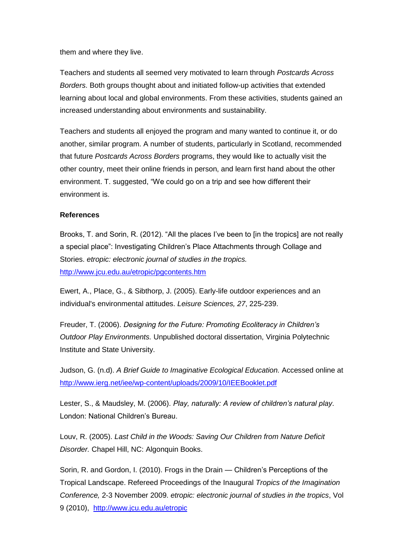them and where they live.

Teachers and students all seemed very motivated to learn through *Postcards Across Borders*. Both groups thought about and initiated follow-up activities that extended learning about local and global environments. From these activities, students gained an increased understanding about environments and sustainability.

Teachers and students all enjoyed the program and many wanted to continue it, or do another, similar program. A number of students, particularly in Scotland, recommended that future *Postcards Across Borders* programs, they would like to actually visit the other country, meet their online friends in person, and learn first hand about the other environment. T. suggested, "We could go on a trip and see how different their environment is.

## **References**

Brooks, T. and Sorin, R. (2012). "All the places I've been to [in the tropics] are not really a special place": Investigating Children's Place Attachments through Collage and Stories. *etropic: electronic journal of studies in the tropics.* <http://www.jcu.edu.au/etropic/pgcontents.htm>

Ewert, A., Place, G., & Sibthorp, J. (2005). Early-life outdoor experiences and an individual's environmental attitudes. *Leisure Sciences, 27*, 225-239.

Freuder, T. (2006). *Designing for the Future: Promoting Ecoliteracy in Children's Outdoor Play Environments.* Unpublished doctoral dissertation, Virginia Polytechnic Institute and State University.

Judson, G. (n.d). *A Brief Guide to Imaginative Ecological Education.* Accessed online at <http://www.ierg.net/iee/wp-content/uploads/2009/10/IEEBooklet.pdf>

Lester, S., & Maudsley, M. (2006). *Play, naturally: A review of children's natural play*. London: National Children's Bureau.

Louv, R. (2005). *Last Child in the Woods: Saving Our Children from Nature Deficit Disorder.* Chapel Hill, NC: Algonquin Books.

Sorin, R. and Gordon, I. (2010). Frogs in the Drain — Children's Perceptions of the Tropical Landscape. Refereed Proceedings of the Inaugural *Tropics of the Imagination Conference,* 2-3 November 2009. *etropic: electronic journal of studies in the tropics*, Vol 9 (2010), <http://www.jcu.edu.au/etropic>